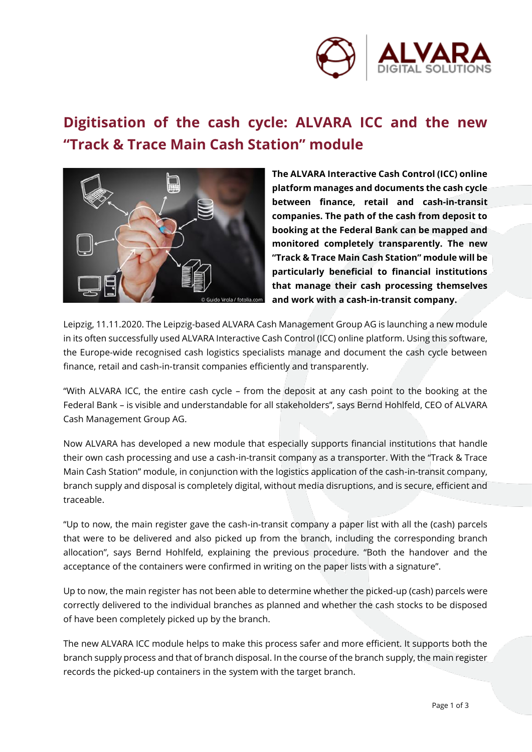

## **Digitisation of the cash cycle: ALVARA ICC and the new "Track & Trace Main Cash Station" module**



**The ALVARA Interactive Cash Control (ICC) online platform manages and documents the cash cycle between finance, retail and cash-in-transit companies. The path of the cash from deposit to booking at the Federal Bank can be mapped and monitored completely transparently. The new "Track & Trace Main Cash Station" module will be particularly beneficial to financial institutions that manage their cash processing themselves and work with a cash-in-transit company.**

Leipzig, 11.11.2020. The Leipzig-based ALVARA Cash Management Group AG is launching a new module in its often successfully used ALVARA Interactive Cash Control (ICC) online platform. Using this software, the Europe-wide recognised cash logistics specialists manage and document the cash cycle between finance, retail and cash-in-transit companies efficiently and transparently.

"With ALVARA ICC, the entire cash cycle – from the deposit at any cash point to the booking at the Federal Bank – is visible and understandable for all stakeholders", says Bernd Hohlfeld, CEO of ALVARA Cash Management Group AG.

Now ALVARA has developed a new module that especially supports financial institutions that handle their own cash processing and use a cash-in-transit company as a transporter. With the "Track & Trace Main Cash Station" module, in conjunction with the logistics application of the cash-in-transit company, branch supply and disposal is completely digital, without media disruptions, and is secure, efficient and traceable.

"Up to now, the main register gave the cash-in-transit company a paper list with all the (cash) parcels that were to be delivered and also picked up from the branch, including the corresponding branch allocation", says Bernd Hohlfeld, explaining the previous procedure. "Both the handover and the acceptance of the containers were confirmed in writing on the paper lists with a signature".

Up to now, the main register has not been able to determine whether the picked-up (cash) parcels were correctly delivered to the individual branches as planned and whether the cash stocks to be disposed of have been completely picked up by the branch.

The new ALVARA ICC module helps to make this process safer and more efficient. It supports both the branch supply process and that of branch disposal. In the course of the branch supply, the main register records the picked-up containers in the system with the target branch.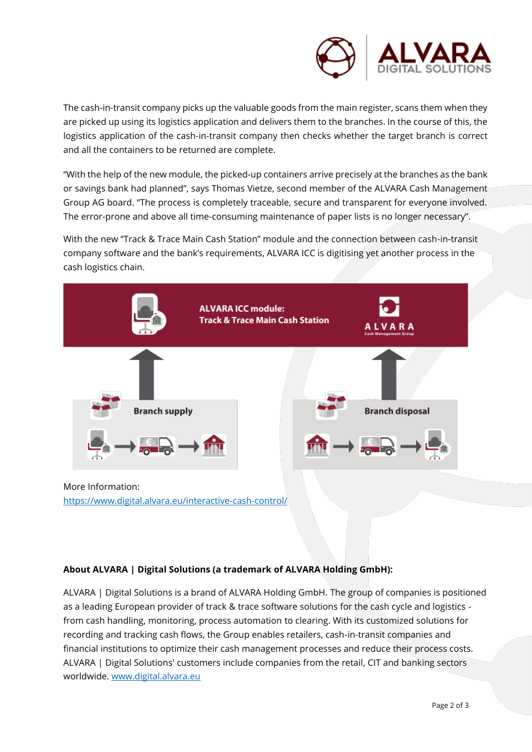

The cash-in-transit company picks up the valuable goods from the main register, scans them when they are picked up using its logistics application and delivers them to the branches. In the course of this, the logistics application of the cash-in-transit company then checks whether the target branch is correct and all the containers to be returned are complete.

"With the help of the new module, the picked-up containers arrive precisely at the branches as the bank or savings bank had planned", says Thomas Vietze, second member of the ALVARA Cash Management Group AG board. "The process is completely traceable, secure and transparent for everyone involved. The error-prone and above all time-consuming maintenance of paper lists is no longer necessary".

With the new "Track & Trace Main Cash Station" module and the connection between cash-in-transit company software and the bank's requirements, ALVARA ICC is digitising yet another process in the cash logistics chain.



<https://www.digital.alvara.eu/interactive-cash-control/>

## **About ALVARA | Digital Solutions (a trademark of ALVARA Holding GmbH):**

ALVARA | Digital Solutions is a brand of ALVARA Holding GmbH. The group of companies is positioned as a leading European provider of track & trace software solutions for the cash cycle and logistics from cash handling, monitoring, process automation to clearing. With its customized solutions for recording and tracking cash flows, the Group enables retailers, cash-in-transit companies and financial institutions to optimize their cash management processes and reduce their process costs. ALVARA | Digital Solutions' customers include companies from the retail, CIT and banking sectors worldwide. [www.digital.alvara.eu](http://www.digital.alvara.eu/)